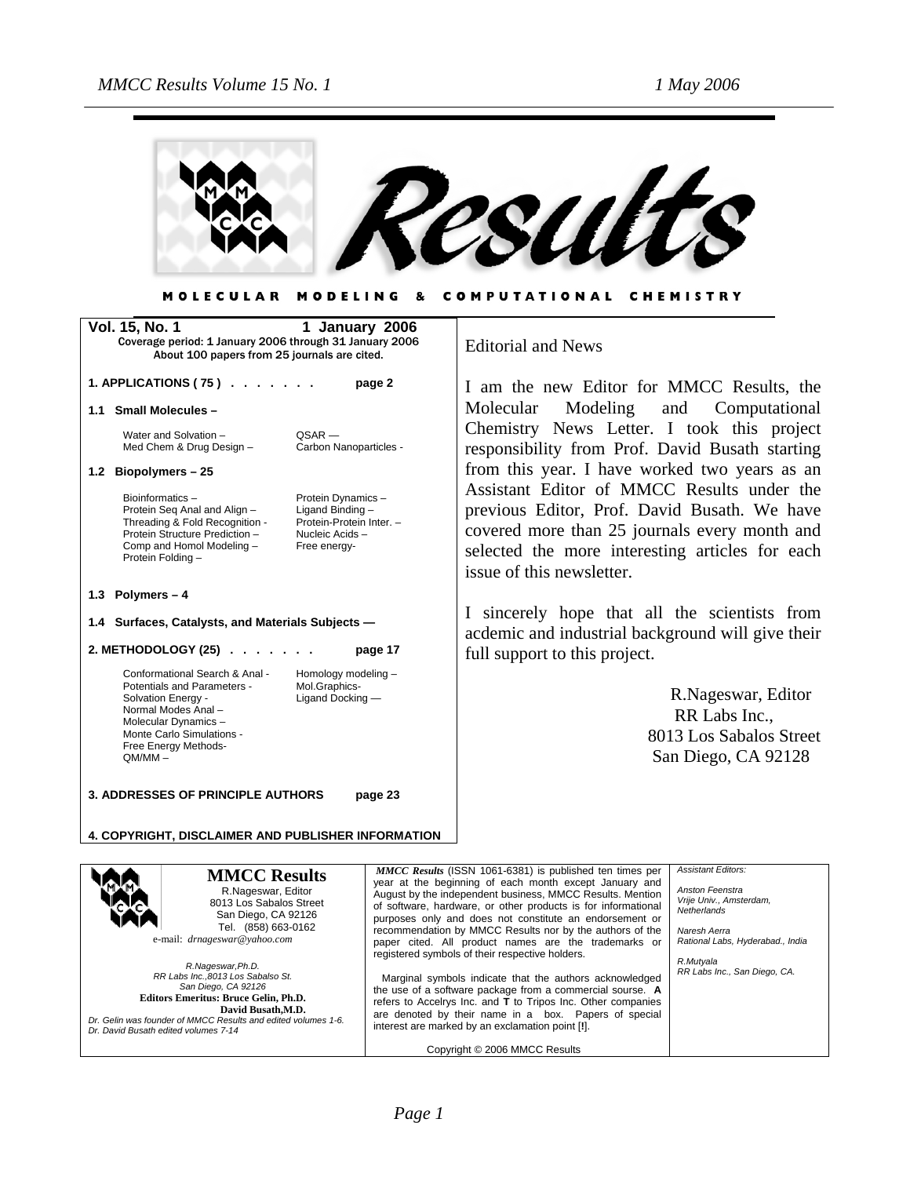*San Diego, CA 92126*  **Editors Emeritus: Bruce Gelin, Ph.D.**

*Dr. Gelin was founder of MMCC Results and edited volumes 1-6.* 

*Dr. David Busath edited volumes 7-14*

 **David Busath,M.D.** 



**COMPUTATIONAL** MOLECULAR MODELING **CHEMISTRY** &

| Vol. 15, No. 1<br>1 January 2006<br>Coverage period: 1 January 2006 through 31 January 2006<br>About 100 papers from 25 journals are cited.                                                                                                                                                                                                            |                                                                                                                                                                                                                                                                                                                                                                                                                                                                                                                                                                                                                                                      | <b>Editorial and News</b>                                                                                                                                                                                                   |                      |
|--------------------------------------------------------------------------------------------------------------------------------------------------------------------------------------------------------------------------------------------------------------------------------------------------------------------------------------------------------|------------------------------------------------------------------------------------------------------------------------------------------------------------------------------------------------------------------------------------------------------------------------------------------------------------------------------------------------------------------------------------------------------------------------------------------------------------------------------------------------------------------------------------------------------------------------------------------------------------------------------------------------------|-----------------------------------------------------------------------------------------------------------------------------------------------------------------------------------------------------------------------------|----------------------|
| 1. APPLICATIONS (75)                                                                                                                                                                                                                                                                                                                                   | page 2                                                                                                                                                                                                                                                                                                                                                                                                                                                                                                                                                                                                                                               | I am the new Editor for MMCC Results, the                                                                                                                                                                                   |                      |
| 1.1 Small Molecules -                                                                                                                                                                                                                                                                                                                                  |                                                                                                                                                                                                                                                                                                                                                                                                                                                                                                                                                                                                                                                      | Molecular<br>Modeling                                                                                                                                                                                                       | and<br>Computational |
| Water and Solvation -<br>$OSAR -$<br>Carbon Nanoparticles -<br>Med Chem & Drug Design -                                                                                                                                                                                                                                                                |                                                                                                                                                                                                                                                                                                                                                                                                                                                                                                                                                                                                                                                      | Chemistry News Letter. I took this project<br>responsibility from Prof. David Busath starting                                                                                                                               |                      |
| 1.2 Biopolymers - 25                                                                                                                                                                                                                                                                                                                                   |                                                                                                                                                                                                                                                                                                                                                                                                                                                                                                                                                                                                                                                      | from this year. I have worked two years as an                                                                                                                                                                               |                      |
| Bioinformatics-<br>Protein Dynamics-<br>Protein Seq Anal and Align -<br>Ligand Binding-<br>Protein-Protein Inter. -<br>Threading & Fold Recognition -<br>Protein Structure Prediction -<br>Nucleic Acids -<br>Comp and Homol Modeling -<br>Free energy-<br>Protein Folding -                                                                           |                                                                                                                                                                                                                                                                                                                                                                                                                                                                                                                                                                                                                                                      | Assistant Editor of MMCC Results under the<br>previous Editor, Prof. David Busath. We have<br>covered more than 25 journals every month and<br>selected the more interesting articles for each<br>issue of this newsletter. |                      |
| 1.3 Polymers $-4$                                                                                                                                                                                                                                                                                                                                      |                                                                                                                                                                                                                                                                                                                                                                                                                                                                                                                                                                                                                                                      |                                                                                                                                                                                                                             |                      |
| 1.4 Surfaces, Catalysts, and Materials Subjects -<br>2. METHODOLOGY (25)<br>page 17<br>Homology modeling -<br>Conformational Search & Anal -<br>Potentials and Parameters -<br>Mol.Graphics-<br>Ligand Docking -<br>Solvation Energy -<br>Normal Modes Anal-<br>Molecular Dynamics -<br>Monte Carlo Simulations -<br>Free Energy Methods-<br>$QM/MM -$ |                                                                                                                                                                                                                                                                                                                                                                                                                                                                                                                                                                                                                                                      | I sincerely hope that all the scientists from<br>acdemic and industrial background will give their<br>full support to this project.                                                                                         |                      |
|                                                                                                                                                                                                                                                                                                                                                        |                                                                                                                                                                                                                                                                                                                                                                                                                                                                                                                                                                                                                                                      | R.Nageswar, Editor<br>RR Labs Inc.,<br>8013 Los Sabalos Street<br>San Diego, CA 92128                                                                                                                                       |                      |
| <b>3. ADDRESSES OF PRINCIPLE AUTHORS</b>                                                                                                                                                                                                                                                                                                               | page 23                                                                                                                                                                                                                                                                                                                                                                                                                                                                                                                                                                                                                                              |                                                                                                                                                                                                                             |                      |
| 4. COPYRIGHT, DISCLAIMER AND PUBLISHER INFORMATION                                                                                                                                                                                                                                                                                                     |                                                                                                                                                                                                                                                                                                                                                                                                                                                                                                                                                                                                                                                      |                                                                                                                                                                                                                             |                      |
|                                                                                                                                                                                                                                                                                                                                                        |                                                                                                                                                                                                                                                                                                                                                                                                                                                                                                                                                                                                                                                      |                                                                                                                                                                                                                             |                      |
| <b>MMCC Results</b><br>R.Nageswar, Editor<br>8013 Los Sabalos Street<br>San Diego, CA 92126<br>Tel. (858) 663-0162<br>e-mail: drnageswar@yahoo.com                                                                                                                                                                                                     | <b>Assistant Editors:</b><br><b>MMCC Results</b> (ISSN 1061-6381) is published ten times per<br>year at the beginning of each month except January and<br>Anston Feenstra<br>August by the independent business, MMCC Results. Mention<br>Vrije Univ., Amsterdam,<br>of software, hardware, or other products is for informational<br>Netherlands<br>purposes only and does not constitute an endorsement or<br>recommendation by MMCC Results nor by the authors of the<br>Naresh Aerra<br>Rational Labs, Hyderabad., India<br>paper cited. All product names are the trademarks or<br>registered symbols of their respective holders.<br>R.Mutyala |                                                                                                                                                                                                                             |                      |
| R.Nageswar, Ph.D.<br>RR Labs Inc.,8013 Los Sabalso St.                                                                                                                                                                                                                                                                                                 | RR Labs Inc., San Diego, CA.<br>Marginal symbols indicate that the authors acknowledged                                                                                                                                                                                                                                                                                                                                                                                                                                                                                                                                                              |                                                                                                                                                                                                                             |                      |

Marginal symbols indicate that the authors acknowledged the use of a software package from a commercial sourse. **A** refers to Accelrys Inc. and **T** to Tripos Inc. Other companies are denoted by their name in a box. Papers of special interest are marked by an exclamation point [**!**].

Copyright © 2006 MMCC Results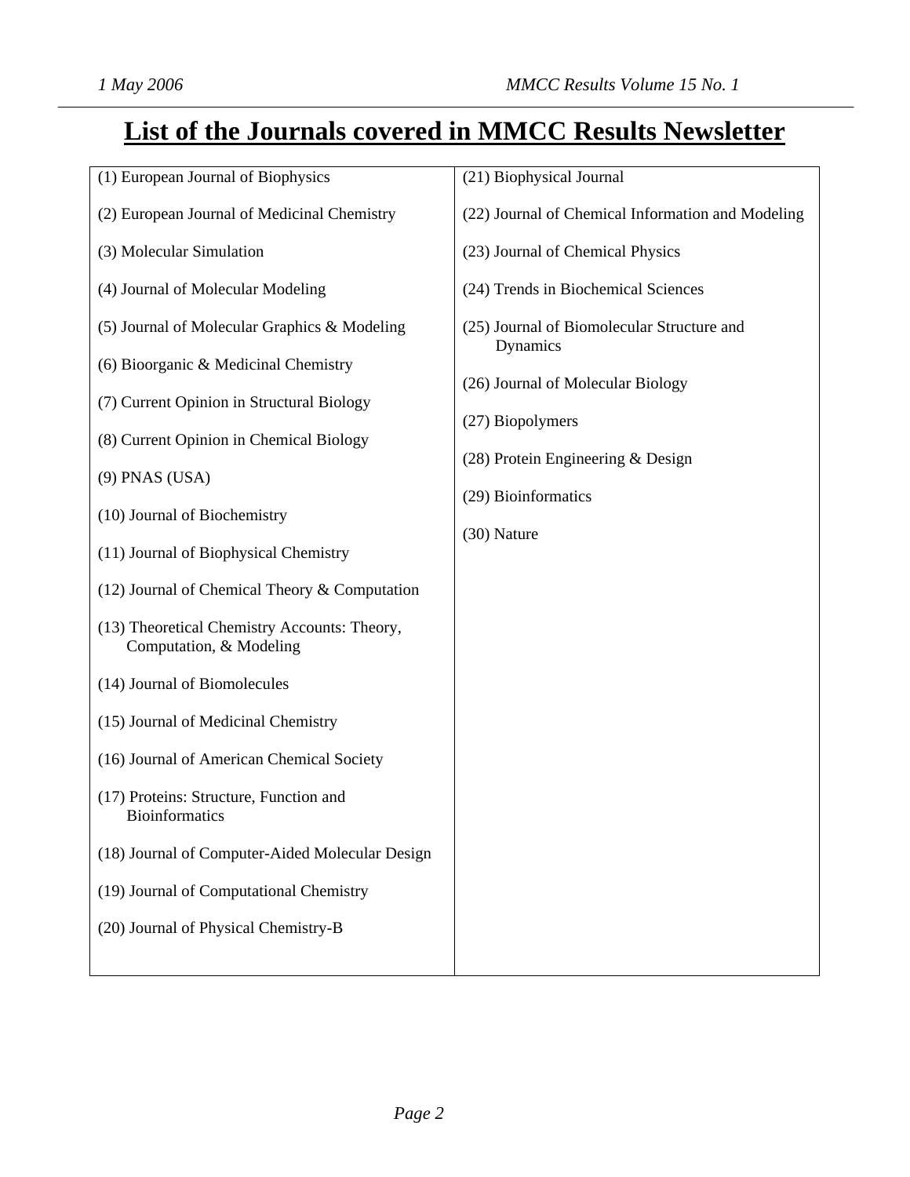# **List of the Journals covered in MMCC Results Newsletter**

| (1) European Journal of Biophysics                                      | (21) Biophysical Journal                                                                                                                                                                     |  |
|-------------------------------------------------------------------------|----------------------------------------------------------------------------------------------------------------------------------------------------------------------------------------------|--|
| (2) European Journal of Medicinal Chemistry                             | (22) Journal of Chemical Information and Modeling                                                                                                                                            |  |
| (3) Molecular Simulation                                                | (23) Journal of Chemical Physics                                                                                                                                                             |  |
| (4) Journal of Molecular Modeling                                       | (24) Trends in Biochemical Sciences                                                                                                                                                          |  |
| (5) Journal of Molecular Graphics & Modeling                            | (25) Journal of Biomolecular Structure and<br>Dynamics<br>(26) Journal of Molecular Biology<br>(27) Biopolymers<br>$(28)$ Protein Engineering & Design<br>(29) Bioinformatics<br>(30) Nature |  |
| (6) Bioorganic & Medicinal Chemistry                                    |                                                                                                                                                                                              |  |
| (7) Current Opinion in Structural Biology                               |                                                                                                                                                                                              |  |
| (8) Current Opinion in Chemical Biology                                 |                                                                                                                                                                                              |  |
| $(9)$ PNAS $(USA)$                                                      |                                                                                                                                                                                              |  |
|                                                                         |                                                                                                                                                                                              |  |
| (10) Journal of Biochemistry                                            |                                                                                                                                                                                              |  |
| (11) Journal of Biophysical Chemistry                                   |                                                                                                                                                                                              |  |
| $(12)$ Journal of Chemical Theory & Computation                         |                                                                                                                                                                                              |  |
| (13) Theoretical Chemistry Accounts: Theory,<br>Computation, & Modeling |                                                                                                                                                                                              |  |
| (14) Journal of Biomolecules                                            |                                                                                                                                                                                              |  |
| (15) Journal of Medicinal Chemistry                                     |                                                                                                                                                                                              |  |
| (16) Journal of American Chemical Society                               |                                                                                                                                                                                              |  |
| (17) Proteins: Structure, Function and<br><b>Bioinformatics</b>         |                                                                                                                                                                                              |  |
| (18) Journal of Computer-Aided Molecular Design                         |                                                                                                                                                                                              |  |
| (19) Journal of Computational Chemistry                                 |                                                                                                                                                                                              |  |
| (20) Journal of Physical Chemistry-B                                    |                                                                                                                                                                                              |  |
|                                                                         |                                                                                                                                                                                              |  |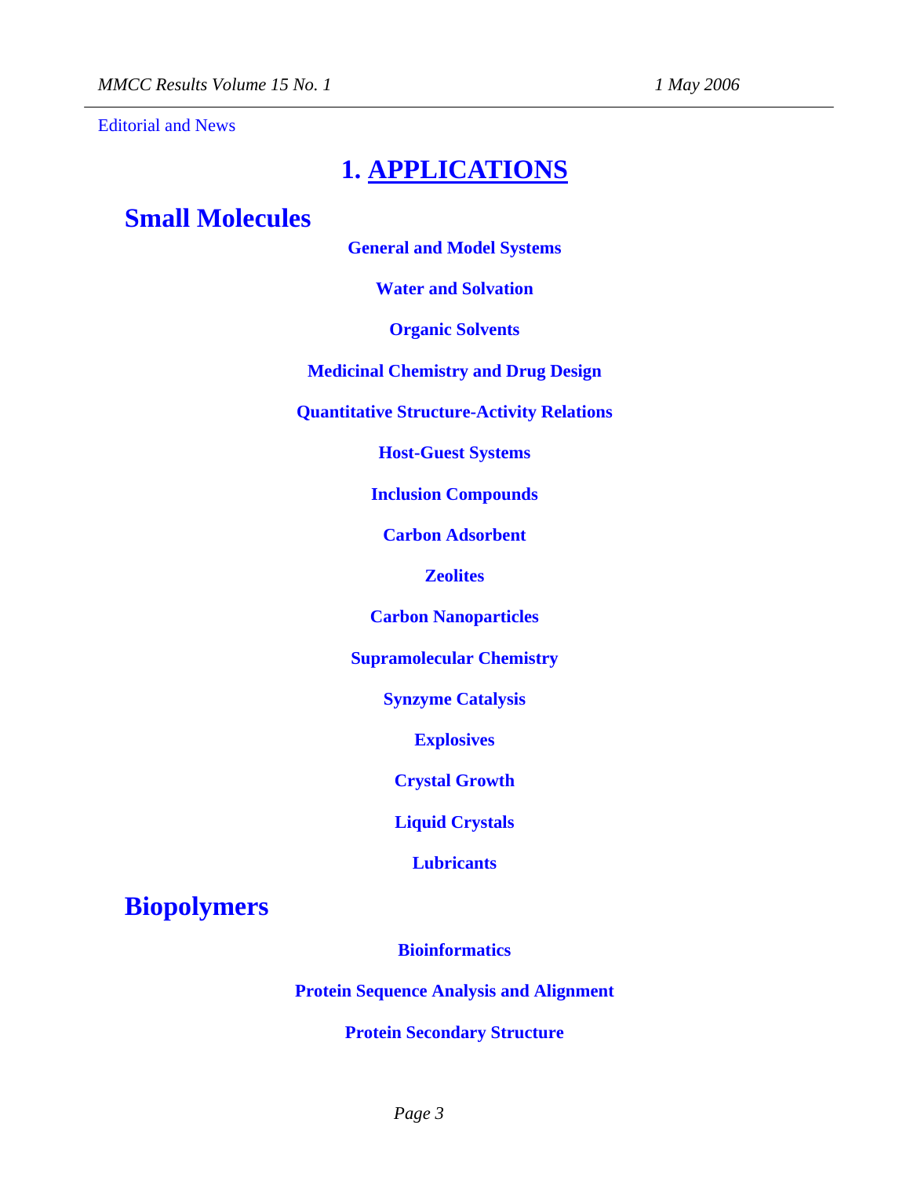Editorial and News

### **1. APPLICATIONS**

### **Small Molecules**

**General and Model Systems** 

**Water and Solvation** 

**Organic Solvents** 

**Medicinal Chemistry and Drug Design** 

**Quantitative Structure-Activity Relations** 

**Host-Guest Systems** 

**Inclusion Compounds** 

**Carbon Adsorbent** 

**Zeolites** 

**Carbon Nanoparticles** 

**Supramolecular Chemistry** 

**Synzyme Catalysis** 

**Explosives** 

**Crystal Growth** 

**Liquid Crystals** 

**Lubricants** 

**Biopolymers** 

**Bioinformatics** 

**Protein Sequence Analysis and Alignment** 

**Protein Secondary Structure**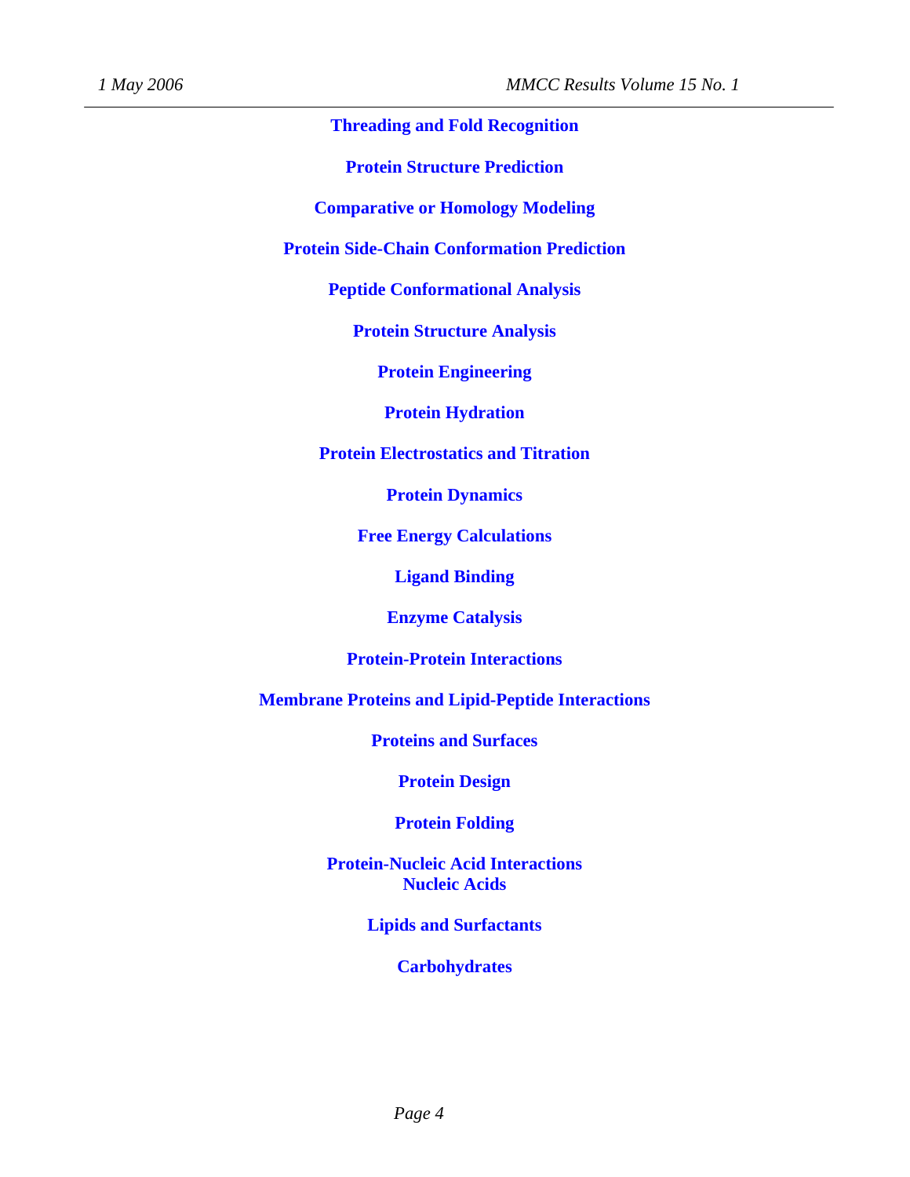#### **Threading and Fold Recognition**

**Protein Structure Prediction** 

**Comparative or Homology Modeling** 

**Protein Side-Chain Conformation Prediction** 

**Peptide Conformational Analysis** 

**Protein Structure Analysis** 

**Protein Engineering** 

**Protein Hydration** 

**Protein Electrostatics and Titration** 

**Protein Dynamics** 

**Free Energy Calculations** 

**Ligand Binding** 

**Enzyme Catalysis** 

**Protein-Protein Interactions** 

**Membrane Proteins and Lipid-Peptide Interactions** 

**Proteins and Surfaces** 

**Protein Design** 

**Protein Folding** 

**Protein-Nucleic Acid Interactions Nucleic Acids** 

**Lipids and Surfactants** 

**Carbohydrates**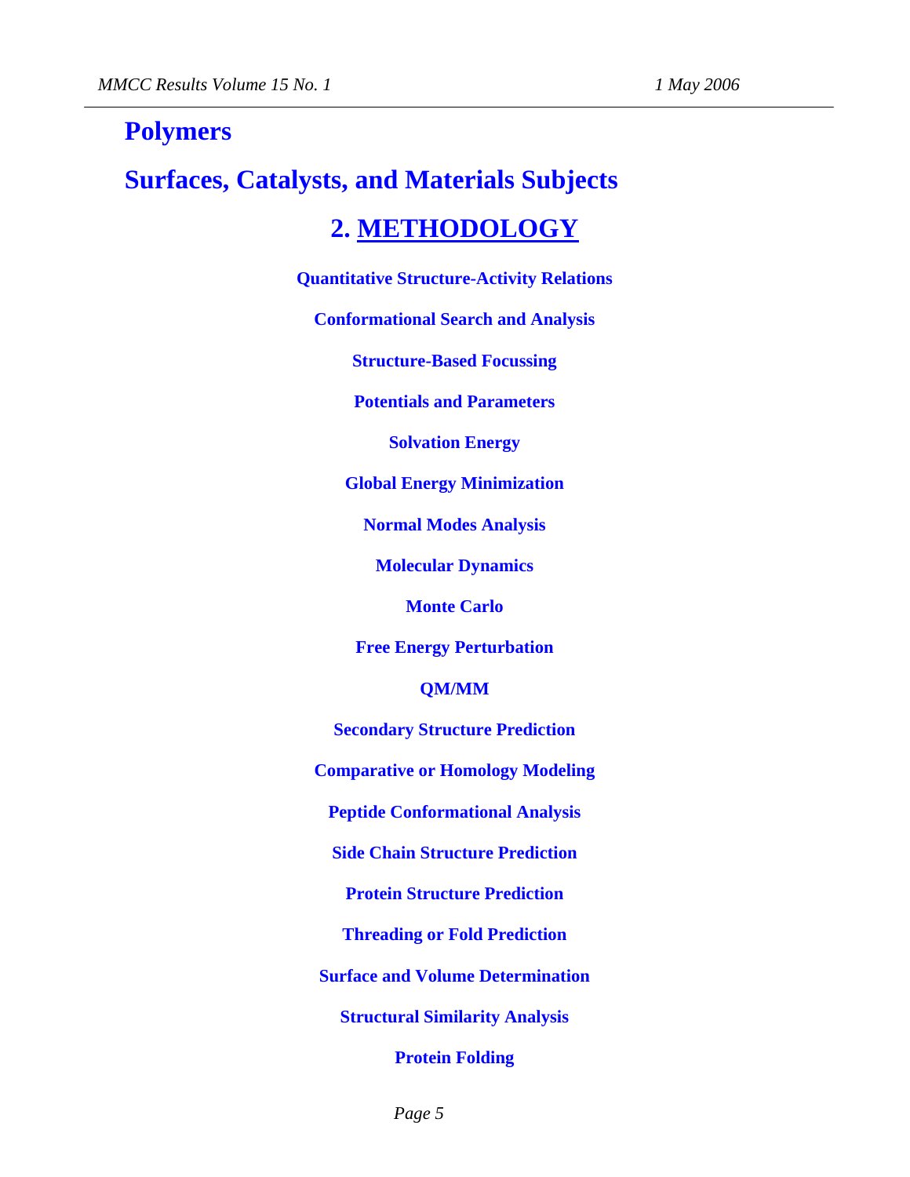# **Polymers Surfaces, Catalysts, and Materials Subjects 2. METHODOLOGY**

**Quantitative Structure-Activity Relations** 

**Conformational Search and Analysis** 

**Structure-Based Focussing** 

**Potentials and Parameters** 

**Solvation Energy** 

**Global Energy Minimization** 

**Normal Modes Analysis** 

**Molecular Dynamics** 

**Monte Carlo** 

**Free Energy Perturbation** 

**QM/MM** 

**Secondary Structure Prediction** 

**Comparative or Homology Modeling** 

**Peptide Conformational Analysis** 

**Side Chain Structure Prediction** 

**Protein Structure Prediction** 

**Threading or Fold Prediction** 

**Surface and Volume Determination** 

**Structural Similarity Analysis** 

**Protein Folding**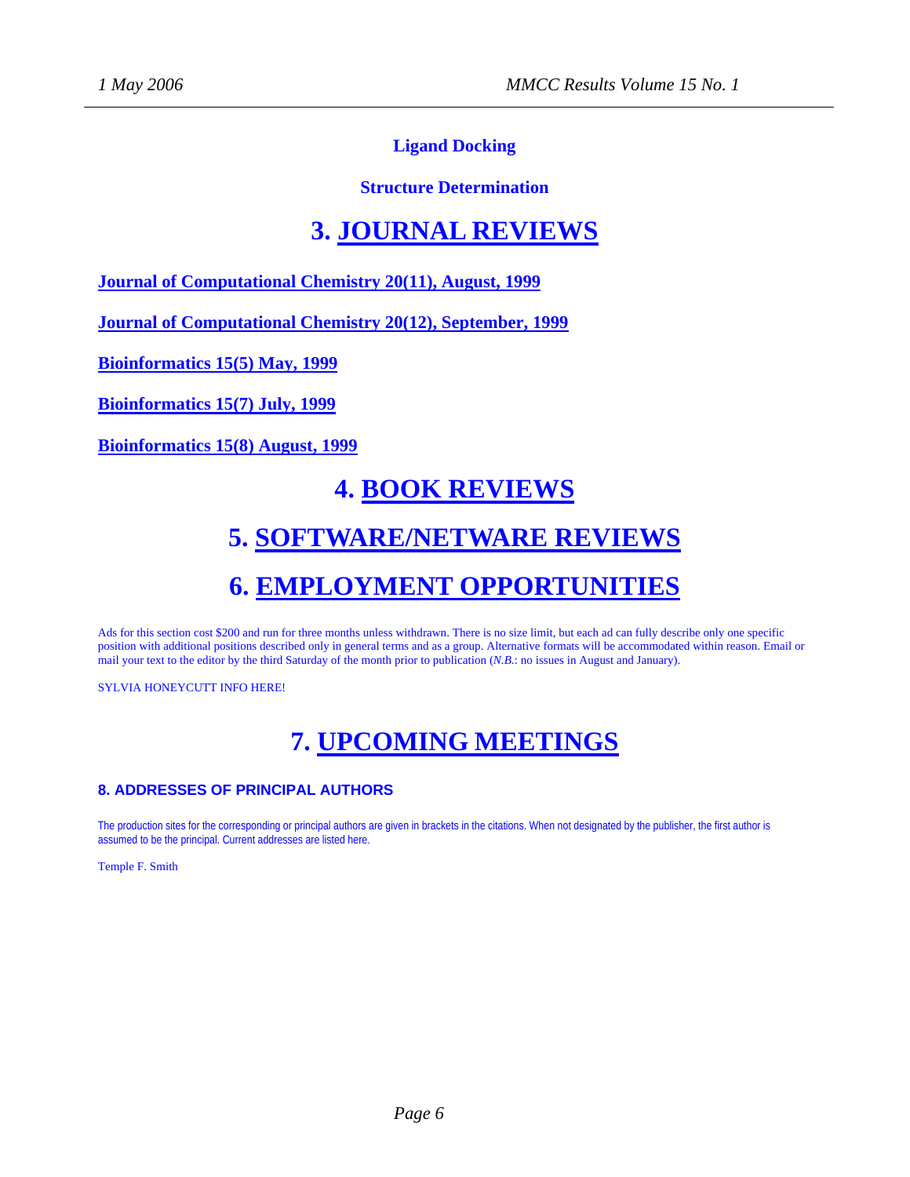#### **Ligand Docking**

#### **Structure Determination**

### **3. JOURNAL REVIEWS**

**Journal of Computational Chemistry 20(11), August, 1999**

**Journal of Computational Chemistry 20(12), September, 1999**

**Bioinformatics 15(5) May, 1999**

**Bioinformatics 15(7) July, 1999**

**Bioinformatics 15(8) August, 1999**

### **4. BOOK REVIEWS**

### **5. SOFTWARE/NETWARE REVIEWS**

### **6. EMPLOYMENT OPPORTUNITIES**

Ads for this section cost \$200 and run for three months unless withdrawn. There is no size limit, but each ad can fully describe only one specific position with additional positions described only in general terms and as a group. Alternative formats will be accommodated within reason. Email or mail your text to the editor by the third Saturday of the month prior to publication (*N.B.*: no issues in August and January).

SYLVIA HONEYCUTT INFO HERE!

## **7. UPCOMING MEETINGS**

#### **8. ADDRESSES OF PRINCIPAL AUTHORS**

The production sites for the corresponding or principal authors are given in brackets in the citations. When not designated by the publisher, the first author is assumed to be the principal. Current addresses are listed here.

Temple F. Smith